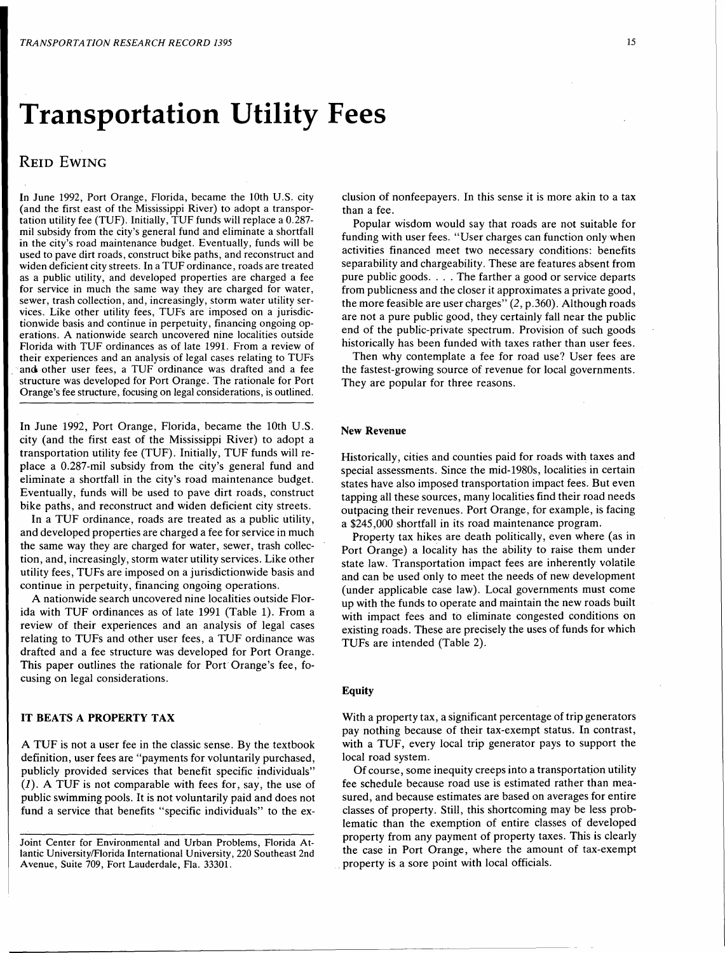# Transportation Utility Fees

## REID EWING

In June 1992, Port Orange, Florida, became the 10th U.S. city (and the first east of the Mississippi River) to adopt a transportation utility fee (TUF). Initially, TUF funds will replace a 0.287 mil subsidy from the city's general fund and eliminate a shortfall in the city's road maintenance budget. Eventually, funds will be used to pave dirt roads, construct bike paths, and reconstruct and widen deficient city streets. In a TUF ordinance, roads are treated as a public utility, and developed properties are charged a fee for service in much the same way they are charged for water, sewer, trash collection, and, increasingly, storm water utility services. Like other utility fees, TUFs are imposed on a jurisdictionwide basis and continue in perpetuity, financing ongoing operations. A nationwide search uncovered nine localities outside Florida with TUF ordinances as of late 1991. From a review of their experiences and an analysis of legal cases relating to TUFs and other user fees, a TUF ordinance was drafted and a fee structure was developed for Port Orange. The rationale for Port Orange's fee structure, focusing on legal considerations, is outlined.

In June 1992, Port Orange, Florida, became the 10th U.S. city (and the first east of the Mississippi River) to adopt a transportation utility fee (TUF). Initially, TUF funds will replace a 0.287-mil subsidy from the city's general fund and eliminate a shortfall in the city's road maintenance budget. Eventually, funds will be used to pave dirt roads, construct bike paths, and reconstruct and widen deficient city streets.

In a TUF ordinance, roads are treated as a public utility, and developed properties are charged a fee for service in much the same way they are charged for water, sewer, trash collection, and, increasingly, storm water utility services. Like other utility fees, TUFs are imposed on a jurisdictionwide basis and continue in perpetuity, financing ongoing operations.

A nationwide search uncovered nine localities outside Florida with TUF ordinances as of late 1991 (Table 1). From a review of their experiences and an analysis of legal cases relating to TUFs and other user fees, a TUF ordinance was drafted and a fee structure was developed for Port Orange. This paper outlines the rationale for Port Orange's fee, focusing on legal considerations.

## IT BEATS A PROPERTY TAX

A TUF is not a user fee in the classic sense. By the textbook definition, user fees are "payments for voluntarily purchased, publicly provided services that benefit specific individuals"  $(1)$ . A TUF is not comparable with fees for, say, the use of public swimming pools. It is not voluntarily paid and does not fund a service that benefits "specific individuals" to the ex-

Joint Center for Environmental and Urban Problems, Florida Atlantic University/Florida International University, 220 Southeast 2nd Avenue, Suite 709, Fort Lauderdale, Fla. 33301.

clusion of nonfeepayers. In this sense it is more akin to a tax than a fee.

Popular wisdom would say that roads are not suitable for funding with user fees. "User charges can function only when activities financed meet two necessary conditions: benefits separability and chargeability. These are features absent from pure public goods .... The farther a good or service departs from publicness and the closer it approximates a private good, the more feasible are user charges" (2, p.360). Although roads are not a pure public good, they certainly fall near the public end of the public-private spectrum. Provision of such goods historically has been funded with taxes rather than user fees.

Then why contemplate a fee for road use? User fees are the fastest-growing source of revenue for local governments. They are popular for three reasons.

## New Revenue

Historically, cities and counties paid for roads with taxes and special assessments. Since the mid-1980s, localities in certain states have also imposed transportation impact fees. But even tapping all these sources, many localities find their road needs outpacing their revenues. Port Orange, for example, is facing a \$245,000 shortfall in its road maintenance program.

Property tax hikes are death politically, even where (as in Port Orange) a locality has the ability to raise them under state law. Transportation impact fees are inherently volatile and can be used only to meet the needs of new development (under applicable case law). Local governments must come up with the funds to operate and maintain the new roads built with impact fees and to eliminate congested conditions on existing roads. These are precisely the uses of funds for which TUFs are intended (Table 2).

#### Equity

With a property tax, a significant percentage of trip generators pay nothing because of their tax-exempt status. In contrast, with a TUF, every local trip generator pays to support the local road system.

Of course, some inequity creeps into a transportation utility fee schedule because road use is estimated rather than measured, and because estimates are based on averages for entire classes of property. Still, this shortcoming may be less problematic than the exemption of entire classes of developed property from any payment of property taxes. This is clearly the case in Port Orange, where the amount of tax-exempt . property is a sore point with local officials.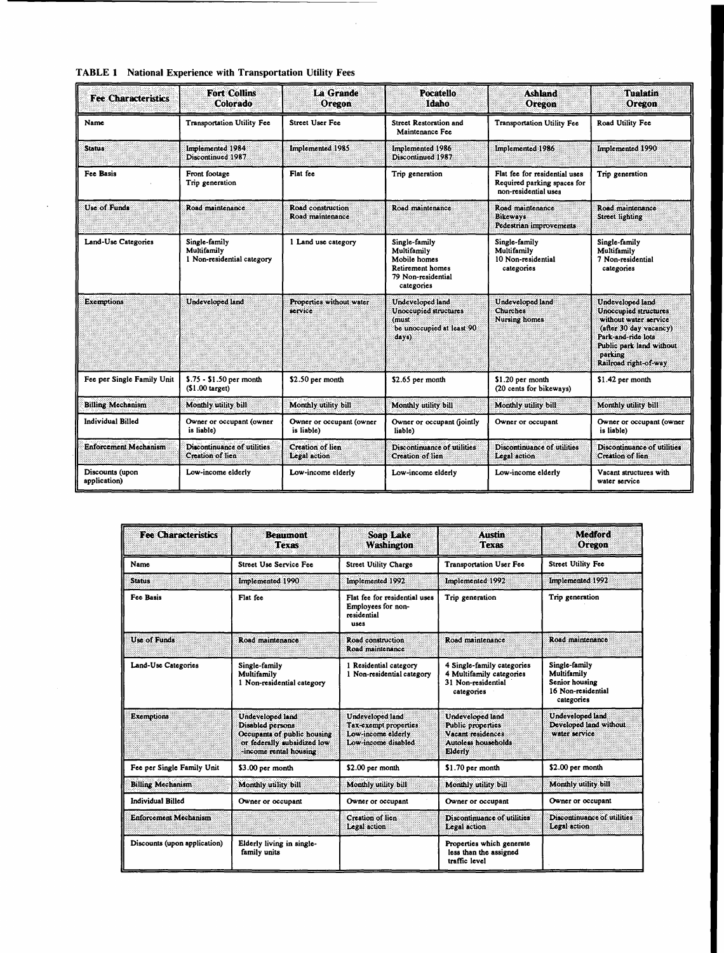| <b>Fee Characteristics</b>      | <b>Fort Collins</b><br>Colorado                            | La Grande<br>Oregon                    | <b>Pocatello</b><br><b>Idaho</b>                                                                     | <b>Ashland</b><br>Oregon                                                             | <b>Tualatin</b><br>Oregon                                                                                                                                                          |
|---------------------------------|------------------------------------------------------------|----------------------------------------|------------------------------------------------------------------------------------------------------|--------------------------------------------------------------------------------------|------------------------------------------------------------------------------------------------------------------------------------------------------------------------------------|
| Name                            | <b>Transportation Utility Fee</b>                          | <b>Street User Fee</b>                 | <b>Street Restoration and</b><br>Maintenance Fee                                                     | <b>Transportation Utility Fee</b>                                                    | Road Utility Fee                                                                                                                                                                   |
| <b>Status</b>                   | Implemented 1984<br>Discontinued 1987                      | Implemented 1985                       | Implemented 1986<br>Discontinued 1987                                                                | Implemented 1986                                                                     | Implemented 1990                                                                                                                                                                   |
| <b>Fee Basis</b>                | Front footage<br>Trip generation                           | Flat fee                               | Trip generation                                                                                      | Flat fee for residential uses<br>Required parking spaces for<br>non-residential uses | Trip generation                                                                                                                                                                    |
| Use of Funds                    | Road maintenance                                           | Road construction<br>Road maintenance  | Road maintenance                                                                                     | Road maintenance<br><b>Bikeways</b><br>Pedestrian improvements                       | Road maintenance<br>Street lighting                                                                                                                                                |
| Land-Use Categories             | Single-family<br>Multifamily<br>1 Non-residential category | 1 Land use category                    | Single-family<br>Multifamily<br>Mobile homes<br>Retirement homes<br>79 Non-residential<br>categories | Single-family<br>Multifamily<br>10 Non-residential<br>categories                     | Single-family<br>Multifamily<br>7 Non-residential<br>categories                                                                                                                    |
| <b>Exemptions</b>               | Undeveloped land                                           | Properties without water<br>service    | Undeveloped land<br>Unoccupied structures<br>(must<br>be unoccupied at least 90<br>days)             | Undeveloped land<br>Churches<br><b>Nursing homes</b>                                 | Undeveloped land<br>Unoccupied structures<br>without water service<br>(after 30 day vacancy)<br>Park-and-ride lots<br>Public park land without<br>parking<br>Railroad right-of-way |
| Fee per Single Family Unit      | $$.75 - $1.50$ per month<br>(\$1.00 target)                | \$2.50 per month                       | \$2.65 per month                                                                                     | \$1.20 per month<br>(20 cents for bikeways)                                          | \$1.42 per month                                                                                                                                                                   |
| <b>Billing Mechanism</b>        | Monthly utility bill                                       | Monthly utility bill                   | Monthly utility bill                                                                                 | Monthly utility bill                                                                 | Monthly utility bill                                                                                                                                                               |
| <b>Individual Billed</b>        | Owner or occupant (owner<br>is liable)                     | Owner or occupant (owner<br>is liable) | Owner or occupant (jointly<br>liable)                                                                | Owner or occupant                                                                    | Owner or occupant (owner<br>is liable)                                                                                                                                             |
| <b>Enforcement Mechanism</b>    | Discontinuance of utilities.<br>Creation of lien           | Creation of lien<br>Legal action       | Discontinuance of utilities<br>Creation of lien                                                      | Discontinuance of utilities<br>Legal action                                          | Discontinuance of utilities<br>Creation of lien                                                                                                                                    |
| Discounts (upon<br>application) | Low-income elderly                                         | Low-income elderly                     | Low-income elderly                                                                                   | Low-income elderly                                                                   | Vacant structures with<br>water service                                                                                                                                            |

 $\mathcal{A}^{\mathcal{A}}$ 

|  | <b>TABLE 1</b> National Experience with Transportation Utility Fees |  |  |
|--|---------------------------------------------------------------------|--|--|
|--|---------------------------------------------------------------------|--|--|

| <b>Fee Characteristics</b>   | <b>Beaumont</b><br>Texas                                                                                                      | <b>Soap Lake</b><br><b>Washington</b>                                                  | <b>Austin</b><br><b>Texas</b>                                                                              | <b>Medford</b><br>Oregon                                                           |
|------------------------------|-------------------------------------------------------------------------------------------------------------------------------|----------------------------------------------------------------------------------------|------------------------------------------------------------------------------------------------------------|------------------------------------------------------------------------------------|
| Name                         | <b>Street Use Service Fee</b>                                                                                                 | <b>Street Utility Charge</b>                                                           | <b>Transportation User Fee</b>                                                                             | <b>Street Utility Fee</b>                                                          |
| <b>Status</b>                | Implemented 1990                                                                                                              | Implemented 1992                                                                       | Implemented 1992                                                                                           | Implemented 1992                                                                   |
| Fee Basis                    | Flat fee                                                                                                                      | Flat fee for residential uses<br>Employees for non-<br>residential<br>uses             | Trip generation                                                                                            | Trip generation                                                                    |
| Use of Funds                 | Road maintenance                                                                                                              | Road construction<br>Road maintenance                                                  | Road maintenance                                                                                           | Road maintenance                                                                   |
| Land-Use Categories          | Single-family<br>Multifamily<br>1 Non-residential category                                                                    | 1 Residential category<br>1 Non-residential category                                   | 4 Single-family categories<br>4 Multifamily categories<br>31 Non-residential<br>categories                 | Single-family<br>Multifamily<br>Senior housing<br>16 Non-residential<br>categories |
| <b>Exemptions</b>            | Undeveloped land<br>Disabled persons<br>Occupants of public housing<br>or federally subsidized low<br>-income rental housing. | Undeveloped land<br>Tax-exempt properties<br>Low-income elderly<br>Low-income disabled | <b>Undeveloped land</b><br>Public properties<br>Vacant residences<br>Autoless households<br><b>Elderly</b> | <b>Undeveloped land</b><br>Developed land without<br>water service                 |
| Fee per Single Family Unit   | \$3.00 per month                                                                                                              | \$2.00 per month                                                                       | \$1.70 per month                                                                                           | \$2.00 per month                                                                   |
| <b>Billing Mechanism</b>     | Monthly utility bill                                                                                                          | Monthly utility bill                                                                   | Monthly utility bill                                                                                       | Monthly utility bill                                                               |
| <b>Individual Billed</b>     | Owner or occupant                                                                                                             | Owner or occupant                                                                      | Owner or occupant                                                                                          | Owner or occupant                                                                  |
| <b>Enforcement Mechanism</b> |                                                                                                                               | Creation of lien<br>Legal action                                                       | Discontinuance of utilities<br>Legal action                                                                | Discontinuance of utilities<br>Legal action                                        |
| Discounts (upon application) | Elderly living in single-<br>family units                                                                                     |                                                                                        | Properties which generate<br>less than the assigned<br>traffic level                                       |                                                                                    |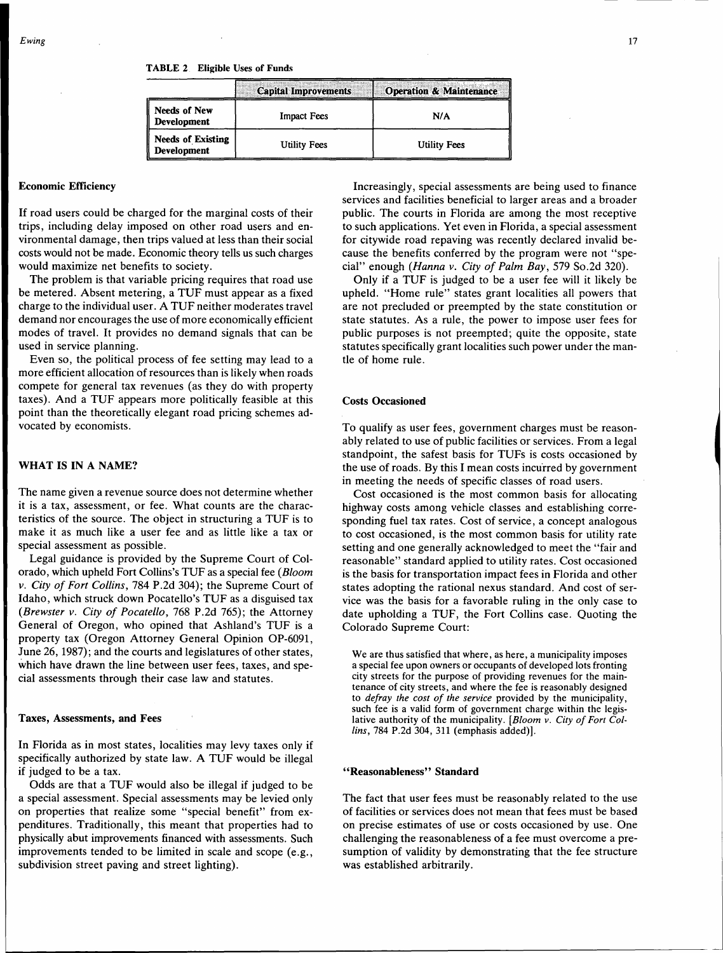|                                         | <b>Capital Improvements</b> | <b>Operation &amp; Maintenance</b> |
|-----------------------------------------|-----------------------------|------------------------------------|
| <b>Needs of New</b><br>Development      | <b>Impact Fees</b>          | N/A                                |
| <b>Needs of Existing</b><br>Development | Utility Fees                | <b>Utility Fees</b>                |

## Economic Efficiency

If road users could be charged for the marginal costs of their trips, including delay imposed on other road users and environmental damage, then trips valued at less than their social costs would not be made. Economic theory tells us such charges would maximize net benefits to society.

The problem is that variable pricing requires that road use be metered. Absent metering, a TUF must appear as a fixed charge to the individual user. A TUF neither moderates travel demand nor encourages the use of more economically efficient modes of travel. It provides no demand signals that can be used in service planning.

Even so, the political process of fee setting may lead to a more efficient allocation of resources than is likely when roads compete for general tax revenues (as they do with property taxes). And a TUF appears more politically feasible at this point than the theoretically elegant road pricing schemes advocated by economists.

## WHAT IS IN A NAME?

The name given a revenue source does not determine whether it is a tax, assessment, or fee. What counts are the characteristics of the source. The object in structuring a TUF is to make it as much like a user fee and as little like a tax or special assessment as possible.

Legal guidance is provided by the Supreme Court of Colorado, which upheld Fort Collins's TUF as a special fee *(Bloom v. City of Fort Collins,* 784 P.2d 304); the Supreme Court of Idaho, which struck down Pocatello's TUF as a disguised tax *(Brewster v. City of Pocatello,* 768 P.2d 765); the Attorney General of Oregon, who opined that Ashland's TUF is a property tax (Oregon Attorney General Opinion OP-6091, June 26, 1987); and the courts and legislatures of other states, which have drawn the line between user fees, taxes, and special assessments through their case law and statutes.

#### Taxes, Assessments, and Fees

In Florida as in most states, localities may levy taxes only if specifically authorized by state law. A TUF would be illegal if judged to be a tax.

Odds are that a TUF would also be illegal if judged to be a special assessment. Special assessments may be levied only on properties that realize some "special benefit" from expenditures. Traditionally, this meant that properties had to physically abut improvements financed with assessments. Such improvements tended to be limited in scale and scope (e.g., subdivision street paving and street lighting).

Increasingly, special assessments are being used to finance services and facilities beneficial to larger areas and a broader public. The courts in Florida are among the most receptive to such applications. Yet even in Florida, a special assessment for citywide road repaving was recently declared invalid because the benefits conferred by the program were not "special" enough *(Hanna v. City of Palm Bay,* 579 So.2d 320).

Only if a TUF is judged to be a user fee will it likely be upheld. "Home rule" states grant localities all powers that are not precluded or preempted by the state constitution or state statutes. As a rule, the power to impose user fees for public purposes is not preempted; quite the opposite, state statutes specifically grant localities such power under the mantle of home rule.

## Costs Occasioned

To qualify as user fees, government charges must be reasonably related to use of public facilities or services. From a legal standpoint, the safest basis for TUFs is costs occasioned by the use of roads. By this I mean costs incurred by government in meeting the needs of specific classes of road users.

Cost occasioned is the most common basis for allocating highway costs among vehicle classes and establishing corresponding fuel tax rates. Cost of service, a concept analogous to cost occasioned, is the most common basis for utility rate setting and one generally acknowledged to meet the "fair and reasonable" standard applied to utility rates. Cost occasioned is the basis for transportation impact fees in Florida and other states adopting the rational nexus standard. And cost of service was the basis for a favorable ruling in the only case to date upholding a TUF, the Fort Collins case. Quoting the Colorado Supreme Court:

We are thus satisfied that where, as here, a municipality imposes a special fee upon owners or occupants of developed lots fronting city streets for the purpose of providing revenues for the maintenance of city streets, and where the fee is reasonably designed to *defray the cost of the service* provided by the municipality, such fee is a valid form of government charge within the legislative authority of the municipality. *[Bloom v. City of Fort Collins,* 784 P.2d 304, 311 (emphasis added)].

## ''Reasonableness'' Standard

The fact that user fees must be reasonably related to the use of facilities or services does not mean that fees must be based on precise estimates of use or costs occasioned by use. One challenging the reasonableness of a fee must overcome a presumption of validity by demonstrating that the fee structure was established arbitrarily.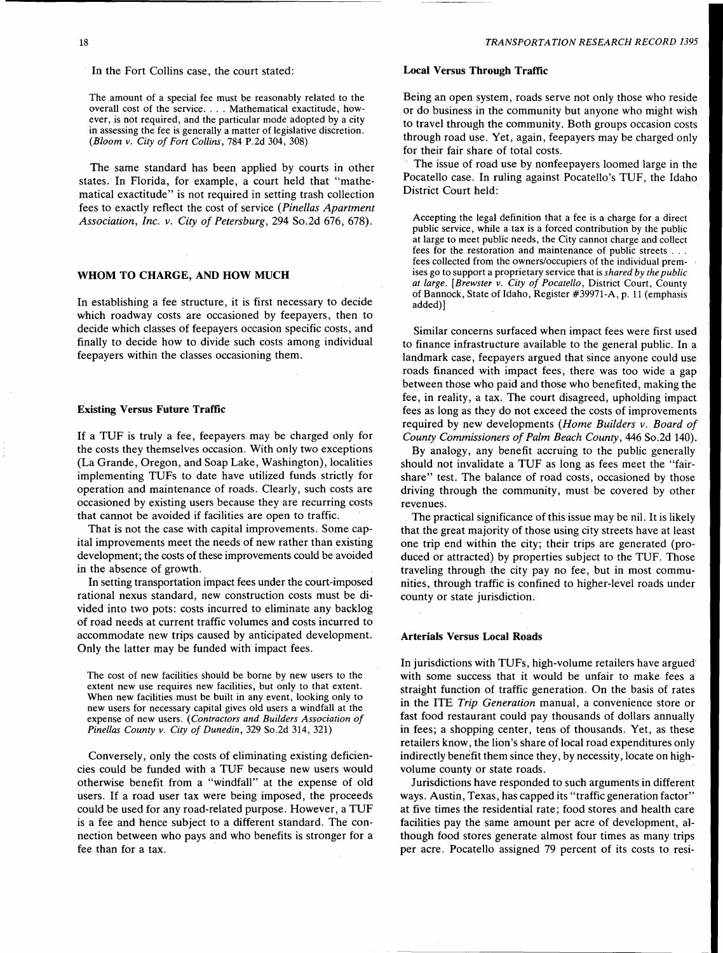In the Fort Collins case, the court stated:

The amount of a special fee must be reasonably related to the overall cost of the service .... Mathematical exactitude, however, is not required, and the particular mode adopted by a city in assessing the fee is generally a matter of legislative discretion. *(Bloom v. City of Fort Collins,* 784 P.2d 304, 308)

The same standard has been applied by courts in other states. In Florida, for example, a court held that "mathematical exactitude" is not required in setting trash collection fees to exactly reflect the cost of service *(Pinellas Apartment Association, Inc. v. City of Petersburg,* 294 So.2d 676, 678).

## WHOM TO CHARGE, AND HOW MUCH

In establishing a fee structure, it is first necessary to decide which roadway costs are occasioned by feepayers, then to decide which classes of feepayers occasion specific costs, and finally to decide how to divide such costs among individual feepayers within the classes occasioning them.

#### Existing Versus Future Traffic

If a TUF is truly a fee, feepayers may be charged only for the costs they themselves occasion. With only two exceptions (La Grande, Oregon, and Soap Lake, Washington), localities implementing TUFs to date have utilized funds strictly for operation and maintenance of roads. Clearly, such costs are occasioned by existing users because they are recurring costs that cannot be avoided if facilities are open to traffic.

That is not the case with capital improvements. Some capital improvements meet the needs of new rather than existing development; the costs of these improvements could be avoided in the absence of growth.

In setting transportation impact fees under the court-imposed rational nexus standard, new construction costs must be divided into two pots: costs incurred to eliminate any backlog of road needs at current traffic volumes and costs incurred to accommodate new trips caused by anticipated development. Only the latter may be funded with impact fees.

The cost of new facilities should be borne by new users to the extent new use requires new facilities, but only to that extent. When new facilities must be built in any event, looking only to new users for necessary capital gives old users a windfall at the expense of new users. *(Contractors and Builders Association of Pinellas County v. City of Dunedin,* 329 So.2d 314, 321)

Conversely, only the costs of eliminating existing deficiencies could be funded with a TUF because new users would otherwise benefit from a "windfall" at the expense of old users. If a road user tax were being imposed, the proceeds could be used for any road-related purpose. However, a TUF is a fee and hence subject to a different standard. The connection between who pays and who benefits is stronger for a fee than for a tax.

## Local Versus Through Traffic

Being an open system, roads serve not only those who reside or do business in the community but anyone who might wish to travel through the community. Both groups occasion costs through road use. Yet, again, feepayers may be charged only for their fair share of total costs.

The issue of road use by nonfeepayers loomed large in the Pocatello case. In ruling against Pocatello's TUF, the Idaho District Court held:

Accepting the legal definition that a fee is a charge for a direct public service, while a tax is a forced contribution by the public at large to meet public needs, the City cannot charge and collect fees for the restoration and maintenance of public streets ... fees collected from the owners/occupiers of the individual premises go to support a proprietary service that is *shared by the public at large. [Brewster v. City of Pocatello,* District Court, County of Bannock, State of Idaho, Register #39971-A, p. 11 (emphasis added)]

Similar concerns surfaced when impact fees were first used to finance infrastructure available to the general public. In a landmark case, feepayers argued that since anyone could use roads financed with impact fees, there was too wide a gap between those who paid and those who benefited, making the fee, in reality, a tax. The court disagreed, upholding impact fees as long as they do not exceed the costs of improvements required by new developments *(Home Builders v. Board of County Commissioners of Palm Beach County,* 446 So.2d 140).

By analogy, any benefit accruing to the public generally should not invalidate a TUF as long as fees meet the "fairshare" test. The balance of road costs, occasioned by those driving through the community, must be covered by other revenues.

The practical significance of this issue may be nil. It is likely that the great majority of those using city streets have at least one trip end within the city; their trips are generated (produced or attracted) by properties subject to the TUF. Those traveling through the city pay no fee, but in most communities, through traffic is confined to higher-level roads under county or state jurisdiction.

## Arterials Versus Local Roads

In jurisdictions with TUFs, high-volume retailers have argued with some success that it would be unfair to make fees a straight function of traffic generation. On the basis of rates in the ITE *Trip Generation* manual, a convenience store or fast food restaurant could pay thousands of dollars annually in fees; a shopping center, tens of thousands. Yet, as these retailers know, the lion's share of local road expenditures only indirectly benefit them since they, by necessity, locate on highvolume county or state roads.

Jurisdictions have responded to such arguments in different ways. Austin, Texas, has capped its "traffic generation factor" at five times the residential rate; food stores and health care facilities pay the same amount per acre of development, although food stores generate almost four times as many trips per acre. Pocatello assigned 79 percent of its costs to resi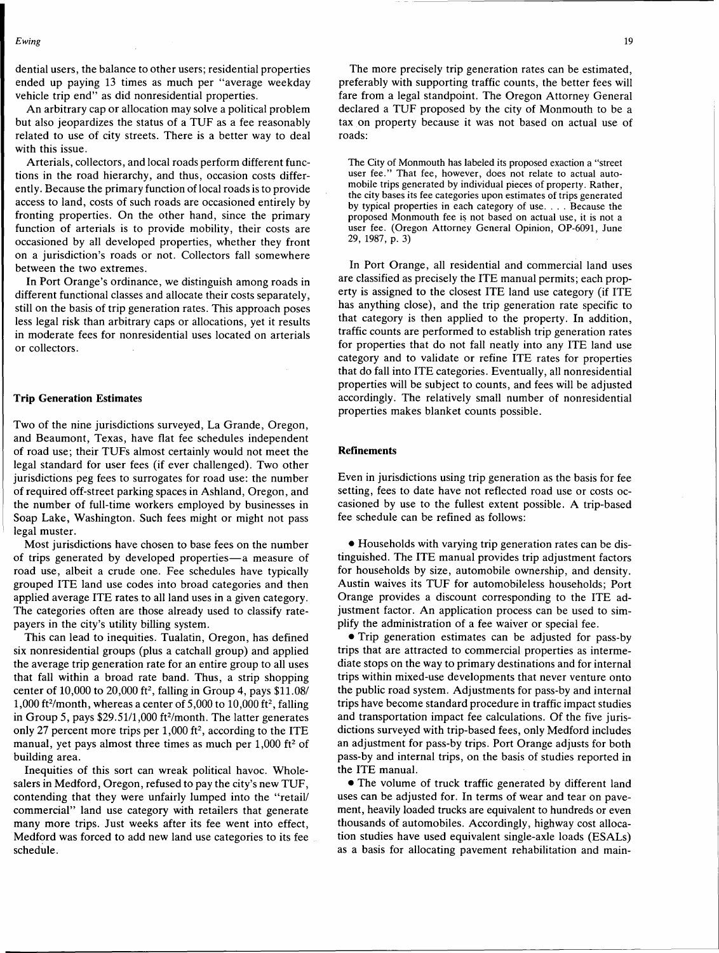dential users, the balance to other users; residential properties ended up paying 13 times as much per "average weekday vehicle trip end" as did nonresidential properties.

An arbitrary cap or allocation may solve a political problem but also jeopardizes the status of a TUF as a fee reasonably related to use of city streets. There is a better way to deal with this issue.

Arterials, collectors, and local roads perform different functions in the road hierarchy, and thus, occasion costs differently. Because the primary function of local roads is to provide access to land, costs of such roads are occasioned entirely by fronting properties. On the other hand, since the primary function of arterials is to provide mobility, their costs are occasioned by all developed properties, whether they front on a jurisdiction's roads or not. Collectors fall somewhere between the two extremes.

In Port Orange's ordinance, we distinguish among roads in different functional classes and allocate their costs separately, still on the basis of trip generation rates. This approach poses less legal risk than arbitrary caps or allocations, yet it results in moderate fees for nonresidential uses located on arterials or collectors.

#### **Trip Generation Estimates**

Two of the nine jurisdictions surveyed, La Grande, Oregon, and Beaumont, Texas, have flat fee schedules independent of road use; their TUFs almost certainly would not meet the legal standard for user fees (if ever challenged). Two other jurisdictions peg fees to surrogates for road use: the number of required off-street parking spaces in Ashland, Oregon, and the number of full-time workers employed by businesses in Soap Lake, Washington. Such fees might or might not pass legal muster.

Most jurisdictions have chosen to base fees on the number of trips generated by developed properties-a measure of road use, albeit a crude one. Fee schedules have typically grouped ITE land use codes into broad categories and then applied average ITE rates to all land uses in a given category. The categories often are those already used to classify ratepayers in the city's utility billing system.

This can lead to inequities. Tualatin, Oregon, has defined six nonresidential groups (plus a catchall group) and applied the average trip generation rate for an entire group to all uses that fall within a broad rate band. Thus, a strip shopping center of 10,000 to 20,000 ft<sup>2</sup>, falling in Group 4, pays  $$11.08/$ 1,000 ft<sup>2</sup>/month, whereas a center of  $5,000$  to  $10,000$  ft<sup>2</sup>, falling in Group 5, pays \$29.51/1,000 ft<sup>2</sup>/month. The latter generates only 27 percent more trips per  $1,000$  ft<sup>2</sup>, according to the ITE manual, yet pays almost three times as much per  $1,000$  ft<sup>2</sup> of building area.

Inequities of this sort can wreak political havoc. Wholesalers in Medford, Oregon, refused to pay the city's new TUF, contending that they were unfairly lumped into the "retail/ commercial" land use category with retailers that generate many more trips. Just weeks after its fee went into effect, Medford was forced to add new land use categories to its fee schedule.

The more precisely trip generation rates can be estimated, preferably with supporting traffic counts, the better fees will fare from a legal standpoint. The Oregon Attorney General declared a TUF proposed by the city of Monmouth to be a tax on property because it was not based on actual use of roads:

The City of Monmouth has labeled its proposed exaction a "street user fee." That fee, however, does not relate to actual automobile trips generated by individual pieces of property. Rather, the city bases its fee categories upon estimates of trips generated by typical properties in each category of use .... Because the proposed Monmouth fee is not based on actual use, it is not a user fee. (Oregon Attorney General Opinion, OP-6091, June 29, 1987, p. 3)

In Port Orange, all residential and commercial land uses are classified as precisely the ITE manual permits; each property is assigned to the closest ITE land use category (if ITE has anything close), and the trip generation rate specific to that category is then applied to the property. In addition, traffic counts are performed to establish trip generation rates for properties that do not fall neatly into any ITE land use category and to validate or refine ITE rates for properties that do fall into ITE categories. Eventually, all nonresidential properties will be subject to counts, and fees will be adjusted accordingly. The relatively small number of nonresidential properties makes blanket counts possible.

#### **Refinements**

Even in jurisdictions using trip generation as the basis for fee setting, fees to date have not reflected road use or costs occasioned by use to the fullest extent possible. A trip-based fee schedule can be refined as follows:

• Households with varying trip generation rates can be distinguished. The ITE manual provides trip adjustment factors for households by size, automobile ownership, and density. Austin waives its TUF for automobileless households; Port Orange provides a discount corresponding to the ITE adjustment factor. An application process can be used to simplify the administration of a fee waiver or special fee.

•Trip generation estimates can be adjusted for pass-by trips that are attracted to commercial properties as intermediate stops on the way to primary destinations and for internal trips within mixed-use developments that never venture onto the public road system. Adjustments for pass-by and internal trips have become standard procedure in traffic impact studies and transportation impact fee calculations. Of the five jurisdictions surveyed with trip-based fees, only Medford includes an adjustment for pass-by trips. Port Orange adjusts for both pass-by and internal trips, on the basis of studies reported in the ITE manual.

• The volume of truck traffic generated by different land uses can be adjusted for. In terms of wear and tear on pavement, heavily loaded trucks are equivalent to hundreds or even thousands of automobiles. Accordingly, highway cost allocation studies have used equivalent single-axle loads (ESALs) as a basis for allocating pavement rehabilitation and main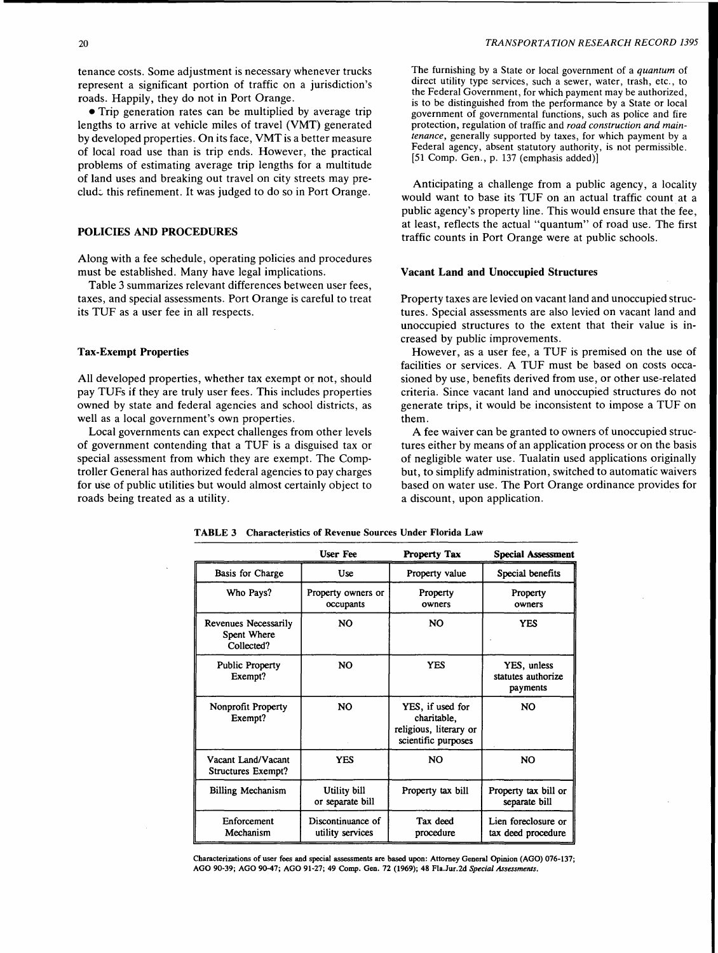tenance costs. Some adjustment is necessary whenever trucks represent a significant portion of traffic on a jurisdiction's roads. Happily, they do not in Port Orange.

• Trip generation rates can be multiplied by average trip lengths to arrive at vehicle miles of travel (VMT) generated by developed properties. On its face, VMT is a better measure of local road use than is trip ends. However, the practical problems of estimating average trip lengths for a multitude of land uses and breaking out travel on city streets may preclud:. this refinement. It was judged to do so in Port Orange.

## POLICIES AND PROCEDURES

Along with a fee schedule, operating policies and procedures must be established. Many have legal implications.

Table 3 summarizes relevant differences between user fees, taxes, and special assessments. Port Orange is careful to treat its TUF as a user fee in all respects.

## Tax-Exempt Properties

All developed properties, whether tax exempt or not, should pay TUFs if they are truly user fees. This includes properties owned by state and federal agencies and school districts, as well as a local government's own properties.

Local governments can expect challenges from other levels of government contending that a TUF is a disguised tax or special assessment from which they are exempt. The Comptroller General has authorized federal agencies to pay charges for use of public utilities but would almost certainly object to roads being treated as a utility.

The furnishing by a State or local government of a *quantum* of direct utility type services, such a sewer, water, trash, etc., to the Federal Government, for which payment may be authorized, is to be distinguished from the performance by a State or local government of governmental functions, such as police and fire protection, regulation of traffic and *road construction and maintenance,* generally supported by taxes, for which payment by a Federal agency, absent statutory authority, is not permissible. (51 Comp. Gen., p. 137 (emphasis added)]

Anticipating a challenge from a public agency, a locality would want to base its TUF on an actual traffic count at a public agency's property line. This would ensure that the fee, at least, reflects the actual "quantum" of road use. The first traffic counts in Port Orange were at public schools.

#### Vacant Land and Unoccupied Structures

Property taxes are levied on vacant land and unoccupied structures. Special assessments are also levied on vacant land and unoccupied structures to the extent that their value is increased by public improvements.

However, as a user fee, a TUF is premised on the use of facilities or services. A TUF must be based on costs occasioned by use, benefits derived from use, or other use-related criteria. Since vacant land and unoccupied structures do not generate trips, it would be inconsistent to impose a TUF on them.

A fee waiver can be granted to owners of unoccupied structures either by means of an application process or on the basis of negligible water use. Tualatin used applications originally but, to simplify administration, switched to automatic waivers based on water use. The Port Orange ordinance provides for a discount, upon application.

|                                                   | <b>User Fee</b>                       | <b>Property Tax</b>                                                              | <b>Special Assessment</b>                     |
|---------------------------------------------------|---------------------------------------|----------------------------------------------------------------------------------|-----------------------------------------------|
| Basis for Charge                                  | Use                                   | Property value                                                                   | Special benefits                              |
| Who Pays?                                         | Property owners or<br>occupants       | Property<br>owners                                                               | Property<br>owners                            |
| Revenues Necessarily<br>Spent Where<br>Collected? | NO                                    | NO.                                                                              | <b>YES</b>                                    |
| <b>Public Property</b><br>Exempt?                 | NO.                                   | <b>YES</b>                                                                       | YES, unless<br>statutes authorize<br>payments |
| Nonprofit Property<br>Exempt?                     | <b>NO</b>                             | YES, if used for<br>charitable,<br>religious, literary or<br>scientific purposes | NO.                                           |
| Vacant Land/Vacant<br>Structures Exempt?          | <b>YES</b>                            | N <sub>O</sub>                                                                   | <b>NO</b>                                     |
| <b>Billing Mechanism</b>                          | Utility bill<br>or separate bill      | Property tax bill                                                                | Property tax bill or<br>separate bill         |
| Enforcement<br>Mechanism                          | Discontinuance of<br>utility services | Tax deed<br>procedure                                                            | Lien foreclosure or<br>tax deed procedure     |

TABLE 3 Characteristics of Revenue Sources Under Florida Law

Characterizations of user fees and special assessments are based upon: Attorney General Opinion (AGO) 076-137; AGO 90-39; AGO 90-47; AGO 91-27; 49 Comp. Gen. 72 (1969); 48 Fla.Jur.2d Special Assessments.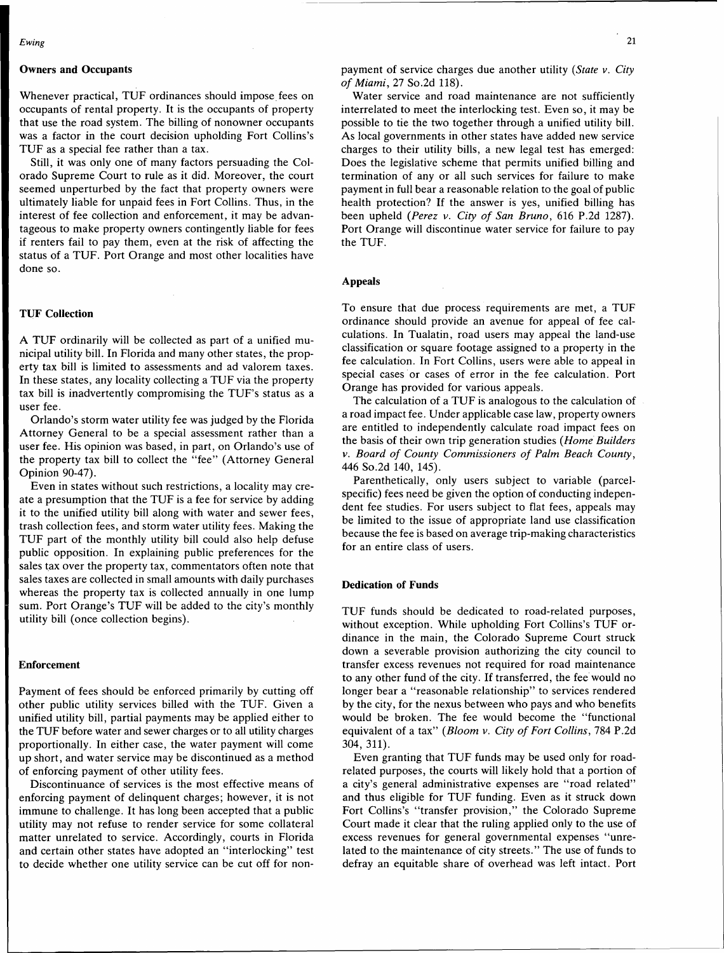## **Owners and Occupants**

Whenever practical, TUF ordinances should impose fees on occupants of rental property. It is the occupants of property that use the road system. The billing of nonowner occupants was a factor in the court decision upholding Fort Collins's TUF as a special fee rather than a tax.

Still, it was only one of many factors persuading the Colorado Supreme Court to rule as it did. Moreover, the court seemed unperturbed by the fact that property owners were ultimately liable for unpaid fees in Fort Collins. Thus, in the interest of fee collection and enforcement, it may be advantageous to make property owners contingently liable for fees if renters fail to pay them, even at the risk of affecting the status of a TUF. Port Orange and most other localities have done so.

## **TUF Collection**

A TUF ordinarily will be collected as part of a unified municipal utility bill. In Florida and many other states, the property tax bill is limited to assessments and ad valorem taxes. In these states, any locality collecting a TUF via the property tax bill is inadvertently compromising the TUF's status as a user fee.

Orlando's storm water utility fee was judged by the Florida Attorney General to be a special assessment rather than a user fee. His opinion was based, in part, on Orlando's use of the property tax bill to collect the "fee" (Attorney General Opinion 90-47).

Even in states without such restrictions, a locality may create a presumption that the TUF is a fee for service by adding it to the unified utility bill along with water and sewer fees, trash collection fees, and storm water utility fees. Making the TUF part of the monthly utility bill could also help defuse public opposition. In explaining public preferences for the sales tax over the property tax, commentators often note that sales taxes are collected in small amounts with daily purchases whereas the property tax is collected annually in one lump sum. Port Orange's TUF will be added to the city's monthly utility bill (once collection begins).

## **Enforcement**

Payment of fees should be enforced primarily by cutting off other public utility services billed with the TUF. Given a unified utility bill, partial payments may be applied either to the TUF before water and sewer charges or to all utility charges proportionally. In either case, the water payment will come up short, and water service may be discontinued as a method of enforcing payment of other utility fees.

Discontinuance of services is the most effective means of enforcing payment of delinquent charges; however, it is not immune to challenge. It has long been accepted that a public utility may not refuse to render service for some collateral matter unrelated to service. Accordingly, courts in Florida and certain other states have adopted an "interlocking" test to decide whether one utility service can be cut off for nonpayment of service charges due another utility *(State v. City of Miami,* 27 So.2d 118).

Water service and road maintenance are not sufficiently interrelated to meet the interlocking test. Even so, it may be possible to tie the two together through a unified utility bill. As local governments in other states have added new service charges to their utility bills, a new legal test has emerged: Does the legislative scheme that permits unified billing and termination of any or all such services for failure to make payment in full bear a reasonable relation to the goal of public health protection? If the answer is yes, unified billing has been upheld *(Perez v. City of San Bruno,* 616 P.2d 1287). Port Orange will discontinue water service for failure to pay the TUF.

## **Appeals**

To ensure that due process requirements are met, a TUF ordinance should provide an avenue for appeal of fee calculations. In Tualatin, road users may appeal the land-use classification or square footage assigned to a property in the fee calculation. In Fort Collins, users were able to appeal in special cases or cases of error in the fee calculation. Port Orange has provided for various appeals.

The calculation of a TUF is analogous to the calculation of a road impact fee. Under applicable case law, property owners are entitled to independently calculate road impact fees on the basis of their own trip generation studies *(Home Builders v. Board of County Commissioners of Palm Beach County,*  446 So.2d 140, 145).

Parenthetically, only users subject to variable (parcelspecific) fees need be given the option of conducting independent fee studies. For users subject to flat fees, appeals may be limited to the issue of appropriate land use classification because the fee is based on average trip-making characteristics for an entire class of users.

## **Dedication of Funds**

TUF funds should be dedicated to road-related purposes, without exception. While upholding Fort Collins's TUF ordinance in the main, the Colorado Supreme Court struck down a severable provision authorizing the city council to transfer excess revenues not required for road maintenance to any other fund of the city. If transferred, the fee would no longer bear a "reasonable relationship" to services rendered by the city, for the nexus between who pays and who benefits would be broken. The fee would become the "functional equivalent of a tax" *(Bloom v. City of Fort Collins,* 784 P.2d 304, 311).

Even granting that TUF funds may be used only for roadrelated purposes, the courts will likely hold that a portion of a city's general administrative expenses are "road related" and thus eligible for TUF funding. Even as it struck down Fort Collins's "transfer provision," the Colorado Supreme Court made it clear that the ruling applied only to the use of excess revenues for general governmental expenses "unrelated to the maintenance of city streets." The use of funds to defray an equitable share of overhead was left intact. Port